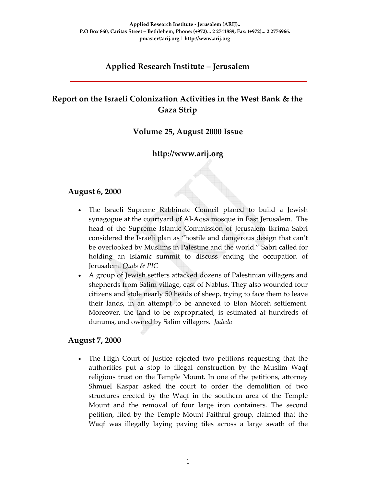# **Applied Research Institute – Jerusalem**

# **Report on the Israeli Colonization Activities in the West Bank & the Gaza Strip**

#### **Volume 25, August 2000 Issue**

## **http://www.arij.org**

#### **August 6, 2000**

- The Israeli Supreme Rabbinate Council planed to build a Jewish synagogue at the courtyard of Al‐Aqsa mosque in East Jerusalem. The head of the Supreme Islamic Commission of Jerusalem Ikrima Sabri considered the Israeli plan as "hostile and dangerous design that can't be overlooked by Muslims in Palestine and the world." Sabri called for holding an Islamic summit to discuss ending the occupation of Jerusalem. *Quds & PIC*
- A group of Jewish settlers attacked dozens of Palestinian villagers and shepherds from Salim village, east of Nablus. They also wounded four citizens and stole nearly 50 heads of sheep, trying to face them to leave their lands, in an attempt to be annexed to Elon Moreh settlement. Moreover, the land to be expropriated, is estimated at hundreds of dunums, and owned by Salim villagers. *Jadeda*

#### **August 7, 2000**

The High Court of Justice rejected two petitions requesting that the authorities put a stop to illegal construction by the Muslim Waqf religious trust on the Temple Mount. In one of the petitions, attorney Shmuel Kaspar asked the court to order the demolition of two structures erected by the Waqf in the southern area of the Temple Mount and the removal of four large iron containers. The second petition, filed by the Temple Mount Faithful group, claimed that the Waqf was illegally laying paving tiles across a large swath of the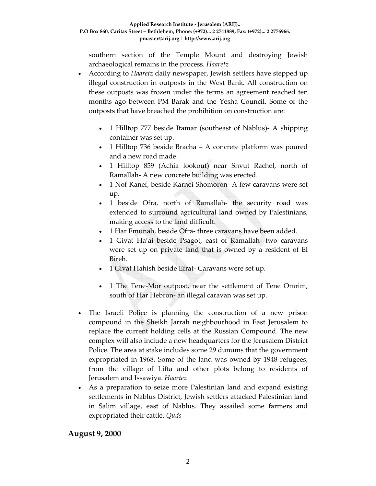southern section of the Temple Mount and destroying Jewish archaeological remains in the process*. Haaretz*

- According to *Haaretz* daily newspaper, Jewish settlers have stepped up illegal construction in outposts in the West Bank. All construction on these outposts was frozen under the terms an agreement reached ten months ago between PM Barak and the Yesha Council. Some of the outposts that have breached the prohibition on construction are:
	- 1 Hilltop 777 beside Itamar (southeast of Nablus)‐ A shipping container was set up.
	- 1 Hilltop 736 beside Bracha A concrete platform was poured and a new road made.
	- 1 Hilltop 859 (Achia lookout) near Shvut Rachel, north of Ramallah‐ A new concrete building was erected.
	- 1 Nof Kanef, beside Karnei Shomoron- A few caravans were set up.
	- 1 beside Ofra, north of Ramallah- the security road was extended to surround agricultural land owned by Palestinians, making access to the land difficult.
	- 1 Har Emunah, beside Ofra-three caravans have been added.
	- 1 Givat Ha'ai beside Psagot, east of Ramallah‐ two caravans were set up on private land that is owned by a resident of El Bireh.
	- 1 Givat Hahish beside Efrat- Caravans were set up.
	- 1 The Tene-Mor outpost, near the settlement of Tene Omrim, south of Har Hebron‐ an illegal caravan was set up.
- The Israeli Police is planning the construction of a new prison compound in the Sheikh Jarrah neighbourhood in East Jerusalem to replace the current holding cells at the Russian Compound. The new complex will also include a new headquarters for the Jerusalem District Police. The area at stake includes some 29 dunums that the government expropriated in 1968. Some of the land was owned by 1948 refugees, from the village of Lifta and other plots belong to residents of Jerusalem and Issawiya. *Haartez*
- As a preparation to seize more Palestinian land and expand existing settlements in Nablus District, Jewish settlers attacked Palestinian land in Salim village, east of Nablus. They assailed some farmers and expropriated their cattle. *Quds*

**August 9, 2000**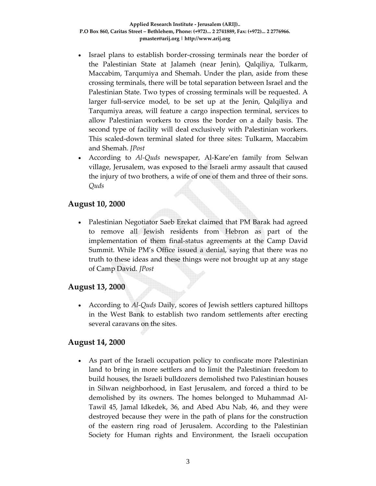- Israel plans to establish border‐crossing terminals near the border of the Palestinian State at Jalameh (near Jenin), Qalqiliya, Tulkarm, Maccabim, Tarqumiya and Shemah. Under the plan, aside from these crossing terminals, there will be total separation between Israel and the Palestinian State. Two types of crossing terminals will be requested. A larger full‐service model, to be set up at the Jenin, Qalqiliya and Tarqumiya areas, will feature a cargo inspection terminal, services to allow Palestinian workers to cross the border on a daily basis. The second type of facility will deal exclusively with Palestinian workers. This scaled‐down terminal slated for three sites: Tulkarm, Maccabim and Shemah. *JPost*
- According to *Al‐Quds* newspaper, Al‐Kare'en family from Selwan village, Jerusalem, was exposed to the Israeli army assault that caused the injury of two brothers, a wife of one of them and three of their sons. *Quds*

#### **August 10, 2000**

• Palestinian Negotiator Saeb Erekat claimed that PM Barak had agreed to remove all Jewish residents from Hebron as part of the implementation of them final-status agreements at the Camp David Summit. While PM's Office issued a denial, saying that there was no truth to these ideas and these things were not brought up at any stage of Camp David*. JPost*

## **August 13, 2000**

• According to *Al-Quds* Daily, scores of Jewish settlers captured hilltops in the West Bank to establish two random settlements after erecting several caravans on the sites.

#### **August 14, 2000**

• As part of the Israeli occupation policy to confiscate more Palestinian land to bring in more settlers and to limit the Palestinian freedom to build houses, the Israeli bulldozers demolished two Palestinian houses in Silwan neighborhood, in East Jerusalem, and forced a third to be demolished by its owners. The homes belonged to Muhammad Al‐ Tawil 45, Jamal Idkedek, 36, and Abed Abu Nab, 46, and they were destroyed because they were in the path of plans for the construction of the eastern ring road of Jerusalem. According to the Palestinian Society for Human rights and Environment, the Israeli occupation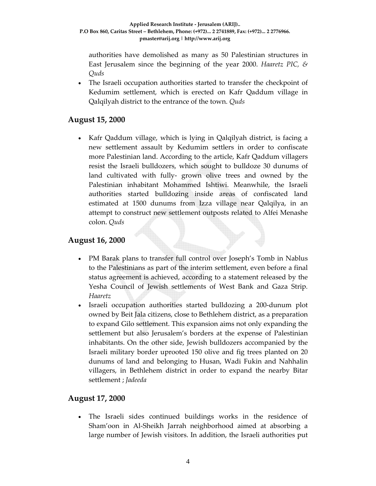authorities have demolished as many as 50 Palestinian structures in East Jerusalem since the beginning of the year 2000. *Haaretz PIC, & Quds*

• The Israeli occupation authorities started to transfer the checkpoint of Kedumim settlement, which is erected on Kafr Qaddum village in Qalqilyah district to the entrance of the town. *Quds*

## **August 15, 2000**

• Kafr Qaddum village, which is lying in Qalqilyah district, is facing a new settlement assault by Kedumim settlers in order to confiscate more Palestinian land. According to the article, Kafr Qaddum villagers resist the Israeli bulldozers, which sought to bulldoze 30 dunums of land cultivated with fully-grown olive trees and owned by the Palestinian inhabitant Mohammed Ishtiwi. Meanwhile, the Israeli authorities started bulldozing inside areas of confiscated land estimated at 1500 dunums from Izza village near Qalqilya, in an attempt to construct new settlement outposts related to Alfei Menashe colon. *Quds*

# **August 16, 2000**

- PM Barak plans to transfer full control over Joseph's Tomb in Nablus to the Palestinians as part of the interim settlement, even before a final status agreement is achieved, according to a statement released by the Yesha Council of Jewish settlements of West Bank and Gaza Strip*. Haaretz*
- Israeli occupation authorities started bulldozing a 200-dunum plot owned by Beit Jala citizens, close to Bethlehem district, as a preparation to expand Gilo settlement. This expansion aims not only expanding the settlement but also Jerusalem's borders at the expense of Palestinian inhabitants. On the other side, Jewish bulldozers accompanied by the Israeli military border uprooted 150 olive and fig trees planted on 20 dunums of land and belonging to Husan, Wadi Fukin and Nahhalin villagers, in Bethlehem district in order to expand the nearby Bitar settlement ; *Jadeeda*

## **August 17, 2000**

The Israeli sides continued buildings works in the residence of Sham'oon in Al‐Sheikh Jarrah neighborhood aimed at absorbing a large number of Jewish visitors. In addition, the Israeli authorities put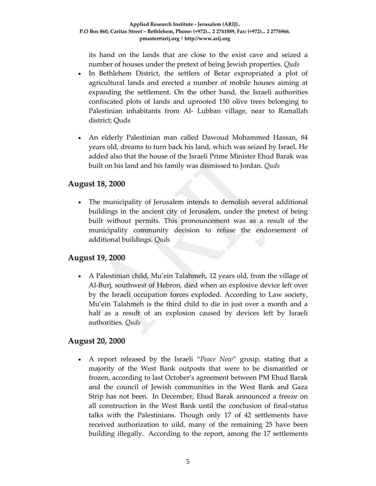its hand on the lands that are close to the exist cave and seized a number of houses under the pretext of being Jewish properties. *Quds*

- In Bethlehem District, the settlers of Betar expropriated a plot of agricultural lands and erected a number of mobile houses aiming at expanding the settlement. On the other hand, the Israeli authorities confiscated plots of lands and uprooted 150 olive trees belonging to Palestinian inhabitants from Al‐ Lubban village, near to Ramallah district; Quds
- An elderly Palestinian man called Dawoud Mohammed Hassan, 84 years old, dreams to turn back his land, which was seized by Israel. He added also that the house of the Israeli Prime Minister Ehud Barak was built on his land and his family was dismissed to Jordan. *Quds*

#### **August 18, 2000**

The municipality of Jerusalem intends to demolish several additional buildings in the ancient city of Jerusalem, under the pretext of being built without permits. This pronouncement was as a result of the municipality community decision to refuse the endorsement of additional buildings. *Quds*

## **August 19, 2000**

• A Palestinian child, Mu'ein Talahmeh, 12 years old, from the village of Al‐Burj, southwest of Hebron, died when an explosive device left over by the Israeli occupation forces exploded. According to Law society, Mu'ein Talahmeh is the third child to die in just over a month and a half as a result of an explosion caused by devices left by Israeli authorities. *Quds*

## **August 20, 2000**

• A report released by the Israeli "*Peace Now*" group, stating that a majority of the West Bank outposts that were to be dismantled or frozen, according to last October's agreement between PM Ehud Barak and the council of Jewish communities in the West Bank and Gaza Strip has not been. In December, Ehud Barak announced a freeze on all construction in the West Bank until the conclusion of final‐status talks with the Palestinians. Though only 17 of 42 settlements have received authorization to uild, many of the remaining 25 have been building illegally. According to the report, among the 17 settlements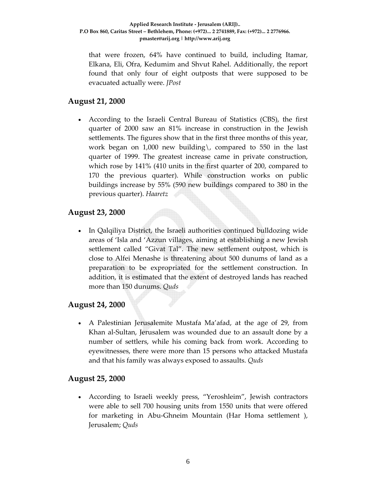that were frozen, 64% have continued to build, including Itamar, Elkana, Eli, Ofra, Kedumim and Shvut Rahel. Additionally, the report found that only four of eight outposts that were supposed to be evacuated actually were. *JPost*

## **August 21, 2000**

• According to the Israeli Central Bureau of Statistics (CBS), the first quarter of 2000 saw an 81% increase in construction in the Jewish settlements. The figures show that in the first three months of this year, work began on 1,000 new building\, compared to 550 in the last quarter of 1999. The greatest increase came in private construction, which rose by 141% (410 units in the first quarter of 200, compared to 170 the previous quarter). While construction works on public buildings increase by 55% (590 new buildings compared to 380 in the previous quarter). *Haaretz*

#### **August 23, 2000**

• In Qalqiliya District, the Israeli authorities continued bulldozing wide areas of 'Isla and 'Azzun villages, aiming at establishing a new Jewish settlement called "Givat Tal". The new settlement outpost, which is close to Alfei Menashe is threatening about 500 dunums of land as a preparation to be expropriated for the settlement construction. In addition, it is estimated that the extent of destroyed lands has reached more than 150 dunums. *Quds*

## **August 24, 2000**

• A Palestinian Jerusalemite Mustafa Ma'afad, at the age of 29, from Khan al‐Sultan, Jerusalem was wounded due to an assault done by a number of settlers, while his coming back from work. According to eyewitnesses, there were more than 15 persons who attacked Mustafa and that his family was always exposed to assaults. *Quds*

#### **August 25, 2000**

• According to Israeli weekly press, "Yeroshleim", Jewish contractors were able to sell 700 housing units from 1550 units that were offered for marketing in Abu‐Ghneim Mountain (Har Homa settlement ), Jerusalem; *Quds*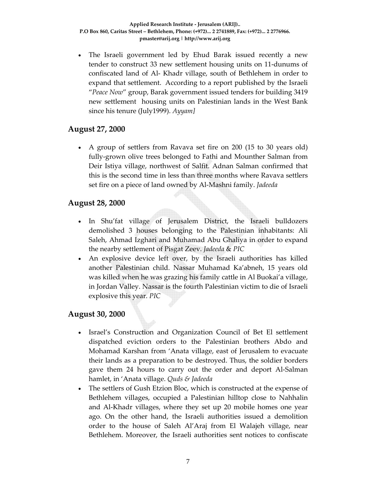• The Israeli government led by Ehud Barak issued recently a new tender to construct 33 new settlement housing units on 11‐dunums of confiscated land of Al‐ Khadr village, south of Bethlehem in order to expand that settlement. According to a report published by the Israeli "*Peace Now*" group, Barak government issued tenders for building 3419 new settlement housing units on Palestinian lands in the West Bank since his tenure (July1999). *Ayyam]*

#### **August 27, 2000**

• A group of settlers from Ravava set fire on 200 (15 to 30 years old) fully‐grown olive trees belonged to Fathi and Mounther Salman from Deir Istiya village, northwest of Salfit. Adnan Salman confirmed that this is the second time in less than three months where Ravava settlers set fire on a piece of land owned by Al‐Mashni family. *Jadeeda*

#### **August 28, 2000**

- In Shu'fat village of Jerusalem District, the Israeli bulldozers demolished 3 houses belonging to the Palestinian inhabitants: Ali Saleh, Ahmad Izghari and Muhamad Abu Ghaliya in order to expand the nearby settlement of Pisgat Zeev. *Jadeeda* & *PIC*
- An explosive device left over, by the Israeli authorities has killed another Palestinian child. Nassar Muhamad Ka'abneh, 15 years old was killed when he was grazing his family cattle in Al Buokai'a village, in Jordan Valley. Nassar is the fourth Palestinian victim to die of Israeli explosive this year. *PIC*

## **August 30, 2000**

- Israel's Construction and Organization Council of Bet El settlement dispatched eviction orders to the Palestinian brothers Abdo and Mohamad Karshan from 'Anata village, east of Jerusalem to evacuate their lands as a preparation to be destroyed. Thus, the soldier borders gave them 24 hours to carry out the order and deport Al‐Salman hamlet, in 'Anata village. *Quds & Jadeeda*
- The settlers of Gush Etzion Bloc, which is constructed at the expense of Bethlehem villages, occupied a Palestinian hilltop close to Nahhalin and Al‐Khadr villages, where they set up 20 mobile homes one year ago. On the other hand, the Israeli authorities issued a demolition order to the house of Saleh Al'Araj from El Walajeh village, near Bethlehem. Moreover, the Israeli authorities sent notices to confiscate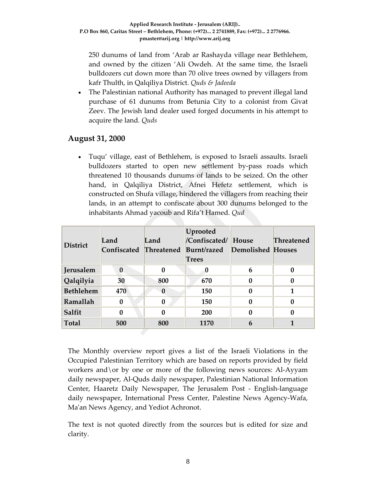250 dunums of land from 'Arab ar Rashayda village near Bethlehem, and owned by the citizen 'Ali Owdeh. At the same time, the Israeli bulldozers cut down more than 70 olive trees owned by villagers from kafr Thulth, in Qalqiliya District. *Quds & Jadeeda*

• The Palestinian national Authority has managed to prevent illegal land purchase of 61 dunums from Betunia City to a colonist from Givat Zeev. The Jewish land dealer used forged documents in his attempt to acquire the land*. Quds*

## **August 31, 2000**

• Tuqu' village, east of Bethlehem, is exposed to Israeli assaults. Israeli bulldozers started to open new settlement by‐pass roads which threatened 10 thousands dunums of lands to be seized. On the other hand, in Qalqiliya District, Afnei Hefetz settlement, which is constructed on Shufa village, hindered the villagers from reaching their lands, in an attempt to confiscate about 300 dunums belonged to the inhabitants Ahmad yacoub and Rifa't Hamed. *Qud*

| <b>District</b>  | Land<br>Confiscated Threatened | Land         | Uprooted<br>/Confiscated/<br>Burnt/razed<br><b>Trees</b> | House<br>Demolished Houses | <b>Threatened</b> |
|------------------|--------------------------------|--------------|----------------------------------------------------------|----------------------------|-------------------|
| Jerusalem        | $\bf{0}$                       | 0            | 0                                                        | 6                          |                   |
| Qalqilyia        | 30                             | 800          | 670                                                      | 0                          | 0                 |
| <b>Bethlehem</b> | 470                            | $\mathbf{0}$ | 150                                                      | $\mathbf{0}$               |                   |
| Ramallah         | $\mathbf{0}$                   | 0            | 150                                                      | 0                          | 0                 |
| Salfit           | $\Omega$                       | 0            | 200                                                      | $\mathbf{0}$               | 0                 |
| <b>Total</b>     | 500                            | 800          | 1170                                                     | 6                          |                   |
|                  |                                |              |                                                          |                            |                   |

The Monthly overview report gives a list of the Israeli Violations in the Occupied Palestinian Territory which are based on reports provided by field workers and  $\sigma$  by one or more of the following news sources: Al-Ayyam daily newspaper, Al‐Quds daily newspaper, Palestinian National Information Center, Haaretz Daily Newspaper, The Jerusalem Post ‐ English‐language daily newspaper, International Press Center, Palestine News Agency‐Wafa, Ma'an News Agency, and Yediot Achronot.

The text is not quoted directly from the sources but is edited for size and clarity.